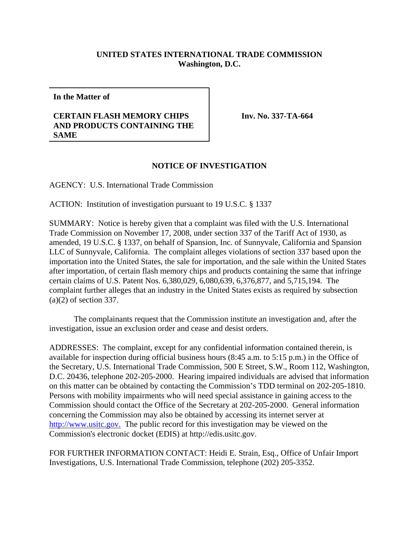## **UNITED STATES INTERNATIONAL TRADE COMMISSION Washington, D.C.**

**In the Matter of**

## **CERTAIN FLASH MEMORY CHIPS AND PRODUCTS CONTAINING THE SAME**

**Inv. No. 337-TA-664**

## **NOTICE OF INVESTIGATION**

AGENCY: U.S. International Trade Commission

ACTION: Institution of investigation pursuant to 19 U.S.C. § 1337

SUMMARY: Notice is hereby given that a complaint was filed with the U.S. International Trade Commission on November 17, 2008, under section 337 of the Tariff Act of 1930, as amended, 19 U.S.C. § 1337, on behalf of Spansion, Inc. of Sunnyvale, California and Spansion LLC of Sunnyvale, California. The complaint alleges violations of section 337 based upon the importation into the United States, the sale for importation, and the sale within the United States after importation, of certain flash memory chips and products containing the same that infringe certain claims of U.S. Patent Nos. 6,380,029, 6,080,639, 6,376,877, and 5,715,194. The complaint further alleges that an industry in the United States exists as required by subsection (a)(2) of section 337.

The complainants request that the Commission institute an investigation and, after the investigation, issue an exclusion order and cease and desist orders.

ADDRESSES: The complaint, except for any confidential information contained therein, is available for inspection during official business hours (8:45 a.m. to 5:15 p.m.) in the Office of the Secretary, U.S. International Trade Commission, 500 E Street, S.W., Room 112, Washington, D.C. 20436, telephone 202-205-2000. Hearing impaired individuals are advised that information on this matter can be obtained by contacting the Commission's TDD terminal on 202-205-1810. Persons with mobility impairments who will need special assistance in gaining access to the Commission should contact the Office of the Secretary at 202-205-2000. General information concerning the Commission may also be obtained by accessing its internet server at http://www.usitc.gov. The public record for this investigation may be viewed on the Commission's electronic docket (EDIS) at http://edis.usitc.gov.

FOR FURTHER INFORMATION CONTACT: Heidi E. Strain, Esq., Office of Unfair Import Investigations, U.S. International Trade Commission, telephone (202) 205-3352.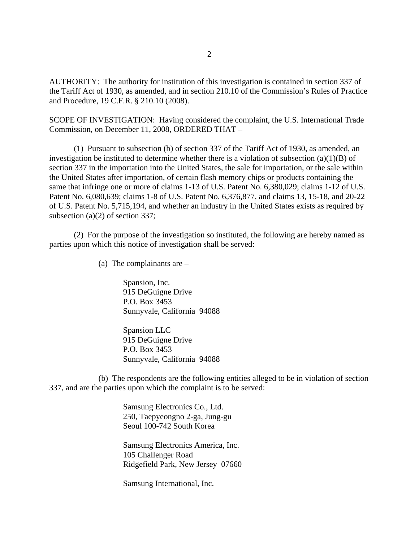AUTHORITY: The authority for institution of this investigation is contained in section 337 of the Tariff Act of 1930, as amended, and in section 210.10 of the Commission's Rules of Practice and Procedure, 19 C.F.R. § 210.10 (2008).

SCOPE OF INVESTIGATION: Having considered the complaint, the U.S. International Trade Commission, on December 11, 2008, ORDERED THAT –

(1) Pursuant to subsection (b) of section 337 of the Tariff Act of 1930, as amended, an investigation be instituted to determine whether there is a violation of subsection (a)(1)(B) of section 337 in the importation into the United States, the sale for importation, or the sale within the United States after importation, of certain flash memory chips or products containing the same that infringe one or more of claims 1-13 of U.S. Patent No. 6,380,029; claims 1-12 of U.S. Patent No. 6,080,639; claims 1-8 of U.S. Patent No. 6,376,877, and claims 13, 15-18, and 20-22 of U.S. Patent No. 5,715,194, and whether an industry in the United States exists as required by subsection (a)(2) of section 337;

(2) For the purpose of the investigation so instituted, the following are hereby named as parties upon which this notice of investigation shall be served:

(a) The complainants are –

Spansion, Inc. 915 DeGuigne Drive P.O. Box 3453 Sunnyvale, California 94088

Spansion LLC 915 DeGuigne Drive P.O. Box 3453 Sunnyvale, California 94088

(b) The respondents are the following entities alleged to be in violation of section 337, and are the parties upon which the complaint is to be served:

> Samsung Electronics Co., Ltd. 250, Taepyeongno 2-ga, Jung-gu Seoul 100-742 South Korea

Samsung Electronics America, Inc. 105 Challenger Road Ridgefield Park, New Jersey 07660

Samsung International, Inc.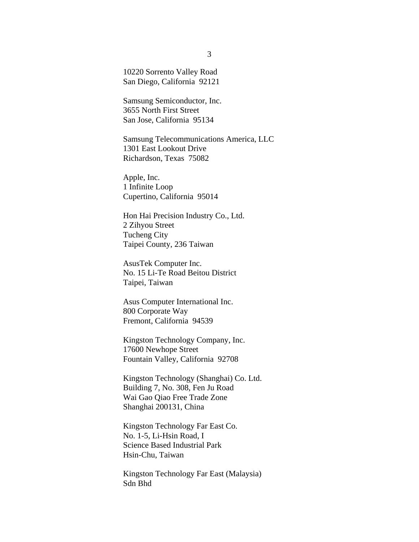10220 Sorrento Valley Road San Diego, California 92121

Samsung Semiconductor, Inc. 3655 North First Street San Jose, California 95134

Samsung Telecommunications America, LLC 1301 East Lookout Drive Richardson, Texas 75082

Apple, Inc. 1 Infinite Loop Cupertino, California 95014

Hon Hai Precision Industry Co., Ltd. 2 Zihyou Street Tucheng City Taipei County, 236 Taiwan

AsusTek Computer Inc. No. 15 Li-Te Road Beitou District Taipei, Taiwan

Asus Computer International Inc. 800 Corporate Way Fremont, California 94539

Kingston Technology Company, Inc. 17600 Newhope Street Fountain Valley, California 92708

Kingston Technology (Shanghai) Co. Ltd. Building 7, No. 308, Fen Ju Road Wai Gao Qiao Free Trade Zone Shanghai 200131, China

Kingston Technology Far East Co. No. 1-5, Li-Hsin Road, I Science Based Industrial Park Hsin-Chu, Taiwan

Kingston Technology Far East (Malaysia) Sdn Bhd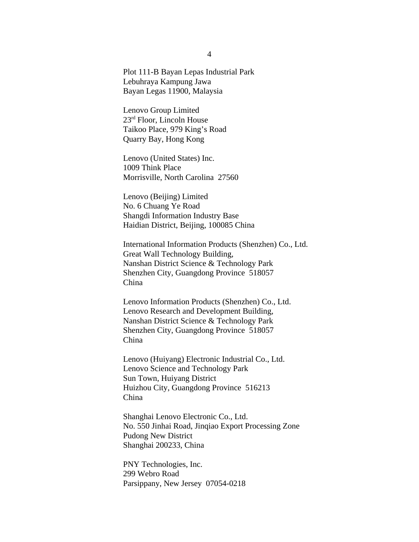Plot 111-B Bayan Lepas Industrial Park Lebuhraya Kampung Jawa Bayan Legas 11900, Malaysia

Lenovo Group Limited 23rd Floor, Lincoln House Taikoo Place, 979 King's Road Quarry Bay, Hong Kong

Lenovo (United States) Inc. 1009 Think Place Morrisville, North Carolina 27560

Lenovo (Beijing) Limited No. 6 Chuang Ye Road Shangdi Information Industry Base Haidian District, Beijing, 100085 China

International Information Products (Shenzhen) Co., Ltd. Great Wall Technology Building, Nanshan District Science & Technology Park Shenzhen City, Guangdong Province 518057 China

Lenovo Information Products (Shenzhen) Co., Ltd. Lenovo Research and Development Building, Nanshan District Science & Technology Park Shenzhen City, Guangdong Province 518057 China

Lenovo (Huiyang) Electronic Industrial Co., Ltd. Lenovo Science and Technology Park Sun Town, Huiyang District Huizhou City, Guangdong Province 516213 China

Shanghai Lenovo Electronic Co., Ltd. No. 550 Jinhai Road, Jinqiao Export Processing Zone Pudong New District Shanghai 200233, China

PNY Technologies, Inc. 299 Webro Road Parsippany, New Jersey 07054-0218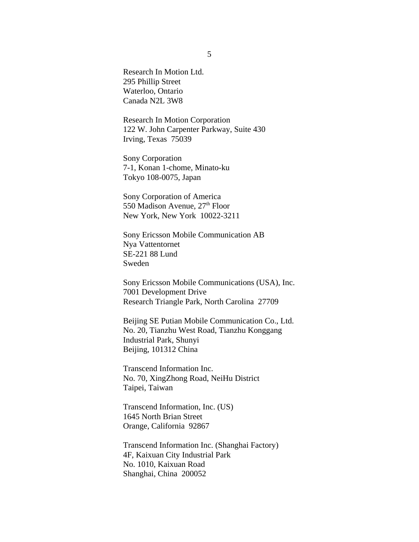Research In Motion Ltd. 295 Phillip Street Waterloo, Ontario Canada N2L 3W8

Research In Motion Corporation 122 W. John Carpenter Parkway, Suite 430 Irving, Texas 75039

Sony Corporation 7-1, Konan 1-chome, Minato-ku Tokyo 108-0075, Japan

Sony Corporation of America 550 Madison Avenue, 27<sup>th</sup> Floor New York, New York 10022-3211

Sony Ericsson Mobile Communication AB Nya Vattentornet SE-221 88 Lund Sweden

Sony Ericsson Mobile Communications (USA), Inc. 7001 Development Drive Research Triangle Park, North Carolina 27709

Beijing SE Putian Mobile Communication Co., Ltd. No. 20, Tianzhu West Road, Tianzhu Konggang Industrial Park, Shunyi Beijing, 101312 China

Transcend Information Inc. No. 70, XingZhong Road, NeiHu District Taipei, Taiwan

Transcend Information, Inc. (US) 1645 North Brian Street Orange, California 92867

Transcend Information Inc. (Shanghai Factory) 4F, Kaixuan City Industrial Park No. 1010, Kaixuan Road Shanghai, China 200052